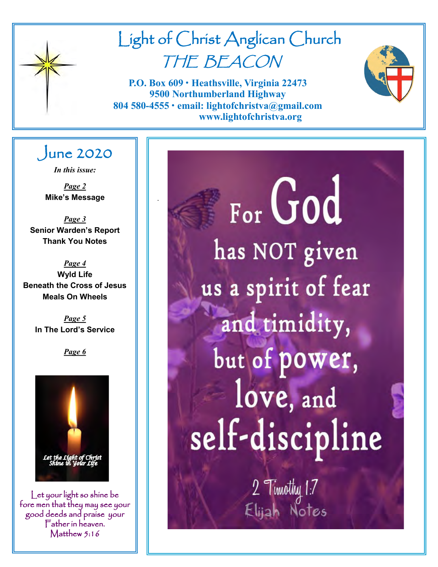

# Light of Christ Anglican Church THE BEACON

**P.O. Box 609 • Heathsville, Virginia 22473 9500 Northumberland Highway 804 580-4555 • email: lightofchristva@gmail.com www.lightofchristva.org**

.



# June 2020

*In this issue:*

*Page 2* **Mike's Message**

*Page 3* **Senior Warden's Report Thank You Notes**

*Page 4* **Wyld Life Beneath the Cross of Jesus Meals On Wheels**

> *Page 5* **In The Lord's Service**

> > *Page 6*



Let your light so shine be fore men that they may see your good deeds and praise your Father in heaven. Matthew 5:16

For God has NOT given us a spirit of fear and timidity, but of power, love, and self-discipline

2 Timothy 1:7<br>Elijah Notes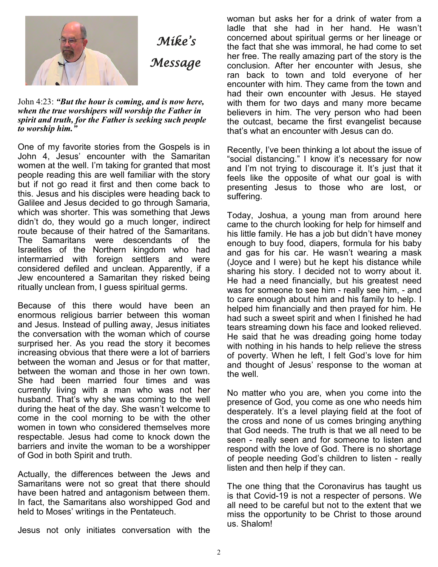

John 4:23: *"But the hour is coming, and is now here, when the true worshipers will worship the Father in spirit and truth, for the Father is seeking such people to worship him."*

One of my favorite stories from the Gospels is in John 4, Jesus' encounter with the Samaritan women at the well. I'm taking for granted that most people reading this are well familiar with the story but if not go read it first and then come back to this. Jesus and his disciples were heading back to Galilee and Jesus decided to go through Samaria, which was shorter. This was something that Jews didn't do, they would go a much longer, indirect route because of their hatred of the Samaritans. The Samaritans were descendants of the Israelites of the Northern kingdom who had intermarried with foreign settlers and were considered defiled and unclean. Apparently, if a Jew encountered a Samaritan they risked being ritually unclean from, I guess spiritual germs.

Because of this there would have been an enormous religious barrier between this woman and Jesus. Instead of pulling away, Jesus initiates the conversation with the woman which of course surprised her. As you read the story it becomes increasing obvious that there were a lot of barriers between the woman and Jesus or for that matter, between the woman and those in her own town. She had been married four times and was currently living with a man who was not her husband. That's why she was coming to the well during the heat of the day. She wasn't welcome to come in the cool morning to be with the other women in town who considered themselves more respectable. Jesus had come to knock down the barriers and invite the woman to be a worshipper of God in both Spirit and truth.

Actually, the differences between the Jews and Samaritans were not so great that there should have been hatred and antagonism between them. In fact, the Samaritans also worshipped God and held to Moses' writings in the Pentateuch.

Jesus not only initiates conversation with the

woman but asks her for a drink of water from a ladle that she had in her hand. He wasn't concerned about spiritual germs or her lineage or the fact that she was immoral, he had come to set her free. The really amazing part of the story is the conclusion. After her encounter with Jesus, she ran back to town and told everyone of her encounter with him. They came from the town and had their own encounter with Jesus. He stayed with them for two days and many more became believers in him. The very person who had been the outcast, became the first evangelist because that's what an encounter with Jesus can do.

Recently, I've been thinking a lot about the issue of "social distancing." I know it's necessary for now and I'm not trying to discourage it. It's just that it feels like the opposite of what our goal is with presenting Jesus to those who are lost, or suffering.

Today, Joshua, a young man from around here came to the church looking for help for himself and his little family. He has a job but didn't have money enough to buy food, diapers, formula for his baby and gas for his car. He wasn't wearing a mask (Joyce and I were) but he kept his distance while sharing his story. I decided not to worry about it. He had a need financially, but his greatest need was for someone to see him - really see him, - and to care enough about him and his family to help. I helped him financially and then prayed for him. He had such a sweet spirit and when I finished he had tears streaming down his face and looked relieved. He said that he was dreading going home today with nothing in his hands to help relieve the stress of poverty. When he left, I felt God's love for him and thought of Jesus' response to the woman at the well

No matter who you are, when you come into the presence of God, you come as one who needs him desperately. It's a level playing field at the foot of the cross and none of us comes bringing anything that God needs. The truth is that we all need to be seen - really seen and for someone to listen and respond with the love of God. There is no shortage of people needing God's children to listen - really listen and then help if they can.

The one thing that the Coronavirus has taught us is that Covid-19 is not a respecter of persons. We all need to be careful but not to the extent that we miss the opportunity to be Christ to those around us. Shalom!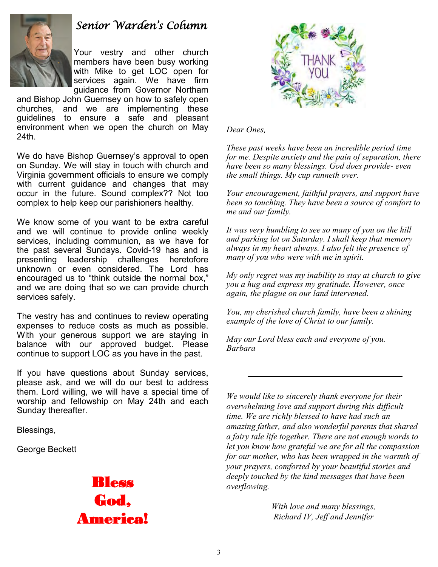

# *Senior Warden's Column*

Your vestry and other church members have been busy working with Mike to get LOC open for services again. We have firm guidance from Governor Northam

and Bishop John Guernsey on how to safely open churches, and we are implementing these guidelines to ensure a safe and pleasant environment when we open the church on May 24th.

We do have Bishop Guernsey's approval to open on Sunday. We will stay in touch with church and Virginia government officials to ensure we comply with current guidance and changes that may occur in the future. Sound complex?? Not too complex to help keep our parishioners healthy.

We know some of you want to be extra careful and we will continue to provide online weekly services, including communion, as we have for the past several Sundays. Covid-19 has and is presenting leadership challenges heretofore unknown or even considered. The Lord has encouraged us to "think outside the normal box," and we are doing that so we can provide church services safely.

The vestry has and continues to review operating expenses to reduce costs as much as possible. With your generous support we are staying in balance with our approved budget. Please continue to support LOC as you have in the past.

If you have questions about Sunday services, please ask, and we will do our best to address them. Lord willing, we will have a special time of worship and fellowship on May 24th and each Sunday thereafter.

Blessings,

George Beckett





*Dear Ones,*

*These past weeks have been an incredible period time for me. Despite anxiety and the pain of separation, there have been so many blessings. God does provide- even the small things. My cup runneth over.*

*Your encouragement, faithful prayers, and support have been so touching. They have been a source of comfort to me and our family.*

*It was very humbling to see so many of you on the hill and parking lot on Saturday. I shall keep that memory always in my heart always. I also felt the presence of many of you who were with me in spirit.*

*My only regret was my inability to stay at church to give you a hug and express my gratitude. However, once again, the plague on our land intervened.*

*You, my cherished church family, have been a shining example of the love of Christ to our family.*

*May our Lord bless each and everyone of you. Barbara*

*We would like to sincerely thank everyone for their overwhelming love and support during this difficult time. We are richly blessed to have had such an amazing father, and also wonderful parents that shared a fairy tale life together. There are not enough words to let you know how grateful we are for all the compassion for our mother, who has been wrapped in the warmth of your prayers, comforted by your beautiful stories and deeply touched by the kind messages that have been overflowing.* 

*With love and many blessings, Richard IV, Jeff and Jennifer*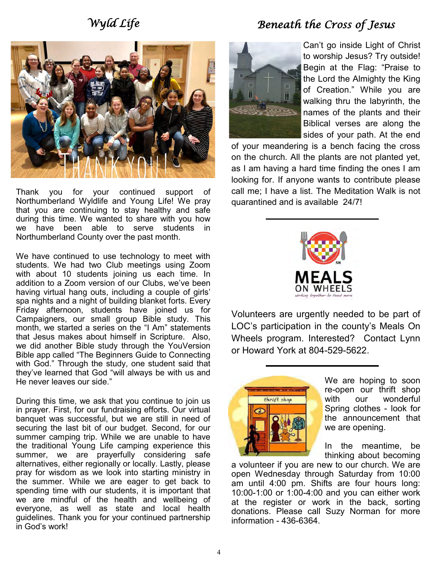# *Wyld Life*

# *Beneath the Cross of Jesus*



Thank you for your continued support of Northumberland Wyldlife and Young Life! We pray that you are continuing to stay healthy and safe during this time. We wanted to share with you how we have been able to serve students in Northumberland County over the past month.

We have continued to use technology to meet with students. We had two Club meetings using Zoom with about 10 students joining us each time. In addition to a Zoom version of our Clubs, we've been having virtual hang outs, including a couple of girls' spa nights and a night of building blanket forts. Every Friday afternoon, students have joined us for Campaigners, our small group Bible study. This month, we started a series on the "I Am" statements that Jesus makes about himself in Scripture. Also, we did another Bible study through the YouVersion Bible app called "The Beginners Guide to Connecting with God." Through the study, one student said that they've learned that God "will always be with us and He never leaves our side."

During this time, we ask that you continue to join us in prayer. First, for our fundraising efforts. Our virtual banquet was successful, but we are still in need of securing the last bit of our budget. Second, for our summer camping trip. While we are unable to have the traditional Young Life camping experience this summer, we are prayerfully considering safe alternatives, either regionally or locally. Lastly, please pray for wisdom as we look into starting ministry in the summer. While we are eager to get back to spending time with our students, it is important that we are mindful of the health and wellbeing of everyone, as well as state and local health guidelines. Thank you for your continued partnership in God's work!



Can't go inside Light of Christ to worship Jesus? Try outside! Begin at the Flag: "Praise to the Lord the Almighty the King of Creation." While you are walking thru the labyrinth, the names of the plants and their Biblical verses are along the sides of your path. At the end

of your meandering is a bench facing the cross on the church. All the plants are not planted yet, as I am having a hard time finding the ones I am looking for. If anyone wants to contribute please call me; I have a list. The Meditation Walk is not quarantined and is available 24/7!



Volunteers are urgently needed to be part of LOC's participation in the county's Meals On Wheels program. Interested? Contact Lynn or Howard York at 804-529-5622.



We are hoping to soon re-open our thrift shop with our wonderful Spring clothes - look for the announcement that we are opening.

In the meantime, be thinking about becoming

a volunteer if you are new to our church. We are open Wednesday through Saturday from 10:00 am until 4:00 pm. Shifts are four hours long: 10:00-1:00 or 1:00-4:00 and you can either work at the register or work in the back, sorting donations. Please call Suzy Norman for more information - 436-6364.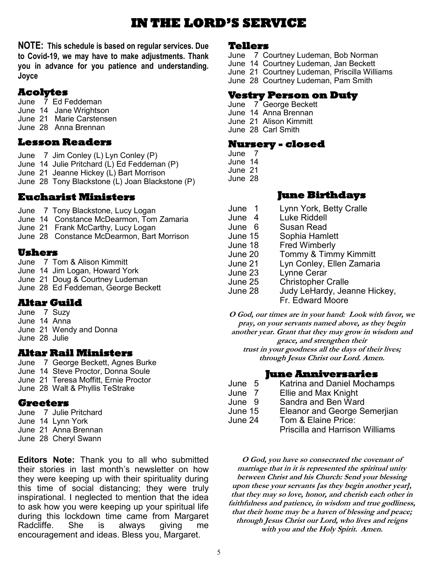# **IN THE LORD'S SERVICE**

**NOTE: This schedule is based on regular services. Due to Covid-19, we may have to make adjustments. Thank you in advance for you patience and understanding. Joyce** 

# **Acolytes**

June 7 Ed Feddeman June 14 Jane Wrightson June 21 Marie Carstensen June 28 Anna Brennan

#### **Lesson Readers**

June 7 Jim Conley (L) Lyn Conley (P) June 14 Julie Pritchard (L) Ed Feddeman (P) June 21 Jeanne Hickey (L) Bart Morrison June 28 Tony Blackstone (L) Joan Blackstone (P)

#### **Eucharist Ministers**

June 7 Tony Blackstone, Lucy Logan

- June 14 Constance McDearmon, Tom Zamaria
- June 21 Frank McCarthy, Lucy Logan
- June 28 Constance McDearmon, Bart Morrison

#### **Ushers**

June 7 Tom & Alison Kimmitt June 14 Jim Logan, Howard York June 21 Doug & Courtney Ludeman June 28 Ed Feddeman, George Beckett

### **Altar Guild**

June 7 Suzy June 14 Anna June 21 Wendy and Donna June 28 Julie

#### **Altar Rail Ministers**

June 7 George Beckett, Agnes Burke June 14 Steve Proctor, Donna Soule June 21 Teresa Moffitt, Ernie Proctor June 28 Walt & Phyllis TeStrake

#### **Greeters**

June 7 Julie Pritchard June 14 Lynn York June 21 Anna Brennan June 28 Cheryl Swann

**Editors Note:** Thank you to all who submitted their stories in last month's newsletter on how they were keeping up with their spirituality during this time of social distancing; they were truly inspirational. I neglected to mention that the idea to ask how you were keeping up your spiritual life during this lockdown time came from Margaret Radcliffe. She is always giving me encouragement and ideas. Bless you, Margaret.

#### **Tellers**

- June 7 Courtney Ludeman, Bob Norman
- June 14 Courtney Ludeman, Jan Beckett
- June 21 Courtney Ludeman, Priscilla Williams
- June 28 Courtney Ludeman, Pam Smith

#### **Vestry Person on Duty**

- June 7 George Beckett June 14 Anna Brennan
- June 21 Alison Kimmitt
- June 28 Carl Smith

#### **Nursery - closed**

- June 7
- June 14

June 21

June 28

#### **June Birthdays**

- June 1 Lynn York, Betty Cralle
- June 4 Luke Riddell
- June 6 Susan Read<br>June 15 Sophia Haml
- June 15 Sophia Hamlett
- **Fred Wimberly**
- June 20 Tommy & Timmy Kimmitt
- June 21 Lyn Conley, Ellen Zamaria
- June 23 Lynne Cerar
- June 25 Christopher Cralle
- June 28 Judy LeHardy, Jeanne Hickey,

Fr. Edward Moore

**O God, our times are in your hand: Look with favor, we pray, on your servants named above, as they begin another year. Grant that they may grow in wisdom and grace, and strengthen their trust in your goodness all the days of their lives; through Jesus Christ our Lord. Amen.**

#### **June Anniversaries**

- June 5 Katrina and Daniel Mochamps
- June 7 Ellie and Max Knight
- June 9 Sandra and Ben Ward<br>June 15 Fleanor and George S
- **Eleanor and George Semerjian**
- June 24 Tom & Elaine Price:
	- Priscilla and Harrison Williams

**O God, you have so consecrated the covenant of marriage that in it is represented the spiritual unity between Christ and his Church: Send your blessing upon these your servants [as they begin another year], that they may so love, honor, and cherish each other in faithfulness and patience, in wisdom and true godliness, that their home may be a haven of blessing and peace; through Jesus Christ our Lord, who lives and reigns with you and the Holy Spirit. Amen.**